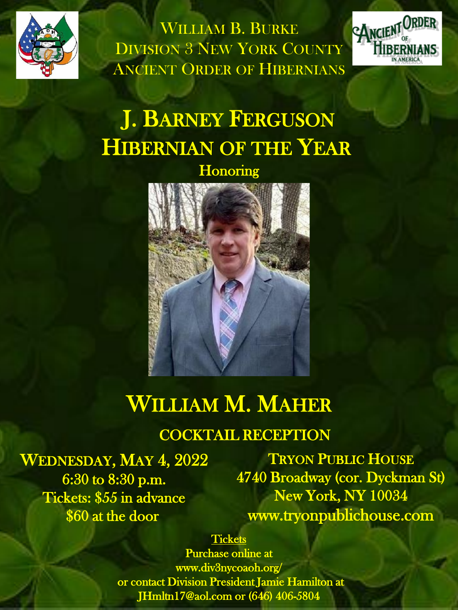

WILLIAM B. BURKE DIVISION 3 NEW YORK COUNTY ANCIENT ORDER OF HIBERNIANS



# J. BARNEY FERGUSON HIBERNIAN OF THE YEAR

**Honoring** 



## WILLIAM M. MAHER

### COCKTAIL RECEPTION

WEDNESDAY, MAY 4, 2022 6:30 to 8:30 p.m. Tickets: \$55 in advance \$60 at the door

TRYON PUBLIC HOUSE 4740 Broadway (cor. Dyckman St) New York, NY 10034 www.tryonpublichouse.com

#### **Tickets**

Purchase online at www.div3nycoaoh.org/ or contact Division President Jamie Hamilton at JHmltn17@aol.com or (646) 406-5804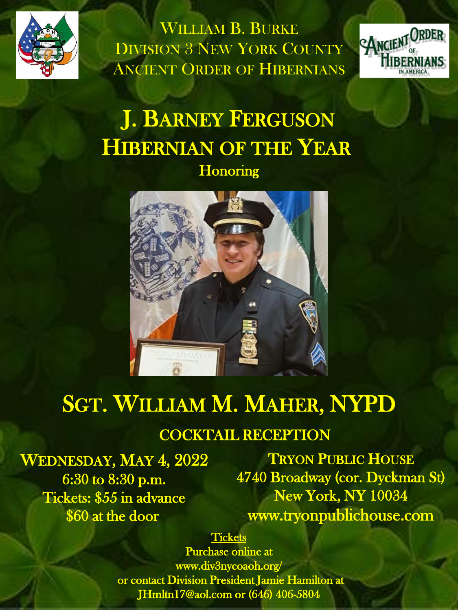

WILLIAM B. BURKE DIVISION 3 NEW YORK COUNTY ANCIENT ORDER OF HIBERNIANS



# J. BARNEY FERGUSON HIBERNIAN OF THE YEAR **Honoring**



## SGT. WILLIAM M. MAHER, NYPD

#### COCKTAIL RECEPTION

WEDNESDAY, MAY 4, 2022 6:30 to 8:30 p.m. Tickets: \$55 in advance \$60 at the door

TRYON PUBLIC HOUSE 4740 Broadway (cor. Dyckman St) New York, NY 10034 www.tryonpublichouse.com

#### **Tickets**

Purchase online at www.div3nycoaoh.org/ or contact Division President Jamie Hamilton at JHmltn17@aol.com or (646) 406-5804